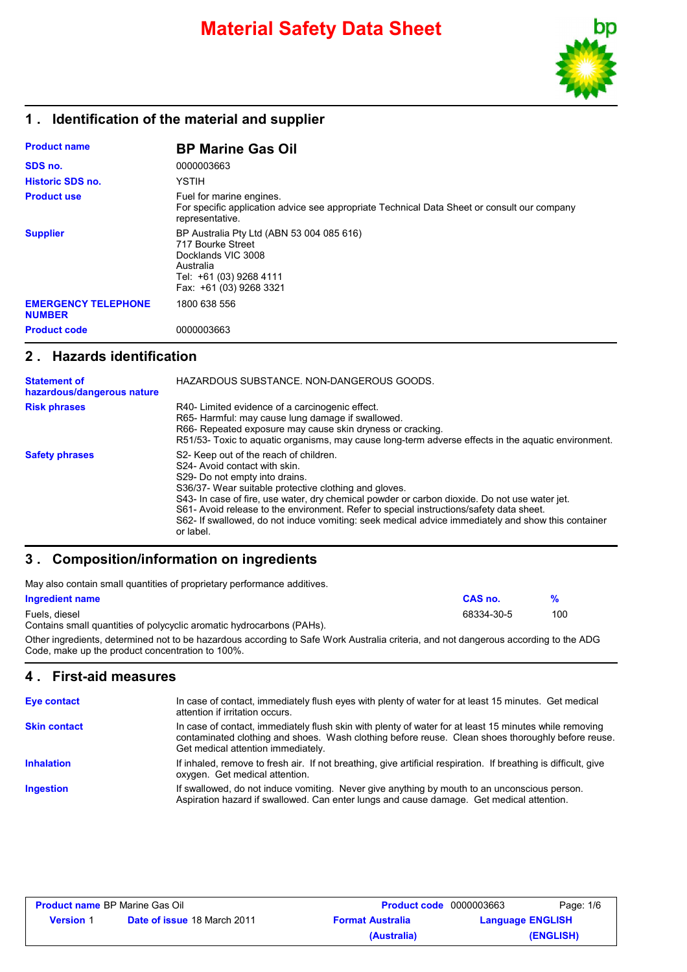

# **1 . Identification of the material and supplier**

| <b>Product name</b>                         | <b>BP Marine Gas Oil</b>                                                                                                                                |
|---------------------------------------------|---------------------------------------------------------------------------------------------------------------------------------------------------------|
| SDS no.                                     | 0000003663                                                                                                                                              |
| <b>Historic SDS no.</b>                     | YSTIH                                                                                                                                                   |
| <b>Product use</b>                          | Fuel for marine engines.<br>For specific application advice see appropriate Technical Data Sheet or consult our company<br>representative.              |
| <b>Supplier</b>                             | BP Australia Pty Ltd (ABN 53 004 085 616)<br>717 Bourke Street<br>Docklands VIC 3008<br>Australia<br>Tel: +61 (03) 9268 4111<br>Fax: +61 (03) 9268 3321 |
| <b>EMERGENCY TELEPHONE</b><br><b>NUMBER</b> | 1800 638 556                                                                                                                                            |
| <b>Product code</b>                         | 0000003663                                                                                                                                              |

### **2 . Hazards identification**

| <b>Statement of</b><br>hazardous/dangerous nature | HAZARDOUS SUBSTANCE, NON-DANGEROUS GOODS.                                                                                                                                                                                                                                                                                                                                                                                                                                                      |
|---------------------------------------------------|------------------------------------------------------------------------------------------------------------------------------------------------------------------------------------------------------------------------------------------------------------------------------------------------------------------------------------------------------------------------------------------------------------------------------------------------------------------------------------------------|
| <b>Risk phrases</b>                               | R40- Limited evidence of a carcinogenic effect.<br>R65- Harmful: may cause lung damage if swallowed.<br>R66- Repeated exposure may cause skin dryness or cracking.<br>R51/53- Toxic to aquatic organisms, may cause long-term adverse effects in the aquatic environment.                                                                                                                                                                                                                      |
| <b>Safety phrases</b>                             | S <sub>2</sub> - Keep out of the reach of children.<br>S24- Avoid contact with skin.<br>S29- Do not empty into drains.<br>S36/37- Wear suitable protective clothing and gloves.<br>S43- In case of fire, use water, dry chemical powder or carbon dioxide. Do not use water jet.<br>S61- Avoid release to the environment. Refer to special instructions/safety data sheet.<br>S62- If swallowed, do not induce vomiting: seek medical advice immediately and show this container<br>or label. |

# **3 . Composition/information on ingredients**

| May also contain small quantities of proprietary performance additives. |            |               |  |
|-------------------------------------------------------------------------|------------|---------------|--|
| Ingredient name                                                         | CAS no.    | $\frac{9}{6}$ |  |
| Fuels, diesel                                                           | 68334-30-5 | 100           |  |
| Contains small quantities of polycyclic aromatic hydrocarbons (PAHs).   |            |               |  |
|                                                                         |            |               |  |

Other ingredients, determined not to be hazardous according to Safe Work Australia criteria, and not dangerous according to the ADG Code, make up the product concentration to 100%.

# **4 . First-aid measures**

| Eye contact         | In case of contact, immediately flush eyes with plenty of water for at least 15 minutes. Get medical<br>attention if irritation occurs.                                                                                                           |
|---------------------|---------------------------------------------------------------------------------------------------------------------------------------------------------------------------------------------------------------------------------------------------|
| <b>Skin contact</b> | In case of contact, immediately flush skin with plenty of water for at least 15 minutes while removing<br>contaminated clothing and shoes. Wash clothing before reuse. Clean shoes thoroughly before reuse.<br>Get medical attention immediately. |
| <b>Inhalation</b>   | If inhaled, remove to fresh air. If not breathing, give artificial respiration. If breathing is difficult, give<br>oxygen. Get medical attention.                                                                                                 |
| <b>Ingestion</b>    | If swallowed, do not induce vomiting. Never give anything by mouth to an unconscious person.<br>Aspiration hazard if swallowed. Can enter lungs and cause damage. Get medical attention.                                                          |

| <b>Product name BP Marine Gas Oil</b> |                                    | <b>Product code</b> 0000003663 |                         | Page: 1/6 |
|---------------------------------------|------------------------------------|--------------------------------|-------------------------|-----------|
| <b>Version</b> 1                      | <b>Date of issue 18 March 2011</b> | <b>Format Australia</b>        | <b>Language ENGLISH</b> |           |
|                                       |                                    | (Australia)                    |                         | (ENGLISH) |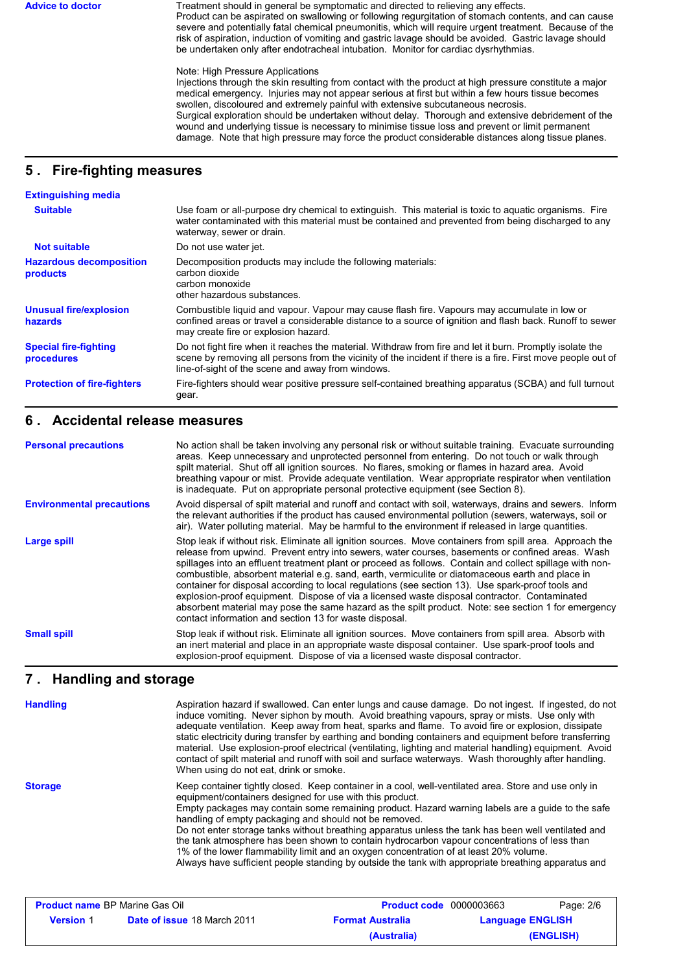Advice to doctor **Treatment should in general be symptomatic and directed to relieving any effects.** Product can be aspirated on swallowing or following regurgitation of stomach contents, and can cause severe and potentially fatal chemical pneumonitis, which will require urgent treatment. Because of the risk of aspiration, induction of vomiting and gastric lavage should be avoided. Gastric lavage should be undertaken only after endotracheal intubation. Monitor for cardiac dysrhythmias.

#### Note: High Pressure Applications

Injections through the skin resulting from contact with the product at high pressure constitute a major medical emergency. Injuries may not appear serious at first but within a few hours tissue becomes swollen, discoloured and extremely painful with extensive subcutaneous necrosis. Surgical exploration should be undertaken without delay. Thorough and extensive debridement of the wound and underlying tissue is necessary to minimise tissue loss and prevent or limit permanent damage. Note that high pressure may force the product considerable distances along tissue planes.

# **5 . Fire-fighting measures**

| <b>Extinguishing media</b>                 |                                                                                                                                                                                                                                                                               |
|--------------------------------------------|-------------------------------------------------------------------------------------------------------------------------------------------------------------------------------------------------------------------------------------------------------------------------------|
| <b>Suitable</b>                            | Use foam or all-purpose dry chemical to extinguish. This material is toxic to aquatic organisms. Fire<br>water contaminated with this material must be contained and prevented from being discharged to any<br>waterway, sewer or drain.                                      |
| <b>Not suitable</b>                        | Do not use water jet.                                                                                                                                                                                                                                                         |
| <b>Hazardous decomposition</b><br>products | Decomposition products may include the following materials:<br>carbon dioxide<br>carbon monoxide<br>other hazardous substances.                                                                                                                                               |
| <b>Unusual fire/explosion</b><br>hazards   | Combustible liquid and vapour. Vapour may cause flash fire. Vapours may accumulate in low or<br>confined areas or travel a considerable distance to a source of ignition and flash back. Runoff to sewer<br>may create fire or explosion hazard.                              |
| <b>Special fire-fighting</b><br>procedures | Do not fight fire when it reaches the material. Withdraw from fire and let it burn. Promptly isolate the<br>scene by removing all persons from the vicinity of the incident if there is a fire. First move people out of<br>line-of-sight of the scene and away from windows. |
| <b>Protection of fire-fighters</b>         | Fire-fighters should wear positive pressure self-contained breathing apparatus (SCBA) and full turnout<br>gear.                                                                                                                                                               |

#### **6 . Accidental release measures**

| <b>Personal precautions</b>      | No action shall be taken involving any personal risk or without suitable training. Evacuate surrounding<br>areas. Keep unnecessary and unprotected personnel from entering. Do not touch or walk through<br>spilt material. Shut off all ignition sources. No flares, smoking or flames in hazard area. Avoid<br>breathing vapour or mist. Provide adequate ventilation. Wear appropriate respirator when ventilation<br>is inadequate. Put on appropriate personal protective equipment (see Section 8).                                                                                                                                                                                                                                                                                          |
|----------------------------------|----------------------------------------------------------------------------------------------------------------------------------------------------------------------------------------------------------------------------------------------------------------------------------------------------------------------------------------------------------------------------------------------------------------------------------------------------------------------------------------------------------------------------------------------------------------------------------------------------------------------------------------------------------------------------------------------------------------------------------------------------------------------------------------------------|
| <b>Environmental precautions</b> | Avoid dispersal of spilt material and runoff and contact with soil, waterways, drains and sewers. Inform<br>the relevant authorities if the product has caused environmental pollution (sewers, waterways, soil or<br>air). Water polluting material. May be harmful to the environment if released in large quantities.                                                                                                                                                                                                                                                                                                                                                                                                                                                                           |
| <b>Large spill</b>               | Stop leak if without risk. Eliminate all ignition sources. Move containers from spill area. Approach the<br>release from upwind. Prevent entry into sewers, water courses, basements or confined areas. Wash<br>spillages into an effluent treatment plant or proceed as follows. Contain and collect spillage with non-<br>combustible, absorbent material e.g. sand, earth, vermiculite or diatomaceous earth and place in<br>container for disposal according to local regulations (see section 13). Use spark-proof tools and<br>explosion-proof equipment. Dispose of via a licensed waste disposal contractor. Contaminated<br>absorbent material may pose the same hazard as the spilt product. Note: see section 1 for emergency<br>contact information and section 13 for waste disposal. |
| <b>Small spill</b>               | Stop leak if without risk. Eliminate all ignition sources. Move containers from spill area. Absorb with<br>an inert material and place in an appropriate waste disposal container. Use spark-proof tools and<br>explosion-proof equipment. Dispose of via a licensed waste disposal contractor.                                                                                                                                                                                                                                                                                                                                                                                                                                                                                                    |

### **Handling and storage 7 .**

| <b>Handling</b> | Aspiration hazard if swallowed. Can enter lungs and cause damage. Do not ingest. If ingested, do not<br>induce vomiting. Never siphon by mouth. Avoid breathing vapours, spray or mists. Use only with<br>adequate ventilation. Keep away from heat, sparks and flame. To avoid fire or explosion, dissipate<br>static electricity during transfer by earthing and bonding containers and equipment before transferring<br>material. Use explosion-proof electrical (ventilating, lighting and material handling) equipment. Avoid<br>contact of spilt material and runoff with soil and surface waterways. Wash thoroughly after handling.<br>When using do not eat, drink or smoke.                                                  |
|-----------------|----------------------------------------------------------------------------------------------------------------------------------------------------------------------------------------------------------------------------------------------------------------------------------------------------------------------------------------------------------------------------------------------------------------------------------------------------------------------------------------------------------------------------------------------------------------------------------------------------------------------------------------------------------------------------------------------------------------------------------------|
| <b>Storage</b>  | Keep container tightly closed. Keep container in a cool, well-ventilated area. Store and use only in<br>equipment/containers designed for use with this product.<br>Empty packages may contain some remaining product. Hazard warning labels are a quide to the safe<br>handling of empty packaging and should not be removed.<br>Do not enter storage tanks without breathing apparatus unless the tank has been well ventilated and<br>the tank atmosphere has been shown to contain hydrocarbon vapour concentrations of less than<br>1% of the lower flammability limit and an oxygen concentration of at least 20% volume.<br>Always have sufficient people standing by outside the tank with appropriate breathing apparatus and |

| <b>Product name BP Marine Gas Oil</b> |                                    | <b>Product code</b> 0000003663 | Page: 2/6               |
|---------------------------------------|------------------------------------|--------------------------------|-------------------------|
| <b>Version</b> 1                      | <b>Date of issue 18 March 2011</b> | <b>Format Australia</b>        | <b>Language ENGLISH</b> |
|                                       |                                    | (Australia)                    | (ENGLISH)               |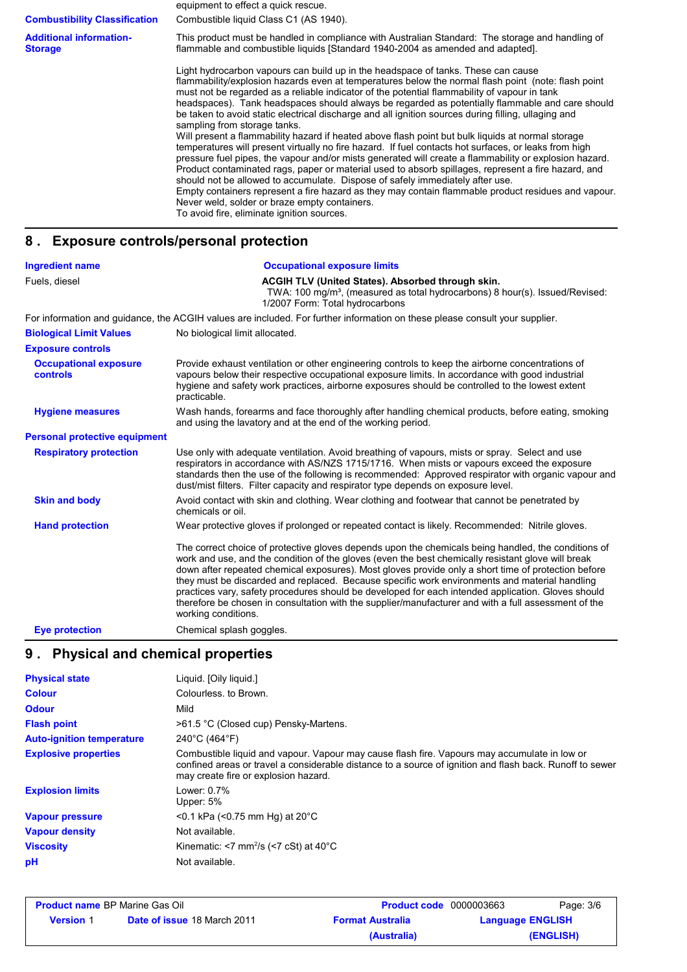equipment to effect a quick rescue. This product must be handled in compliance with Australian Standard: The storage and handling of flammable and combustible liquids [Standard 1940-2004 as amended and adapted]. Light hydrocarbon vapours can build up in the headspace of tanks. These can cause flammability/explosion hazards even at temperatures below the normal flash point (note: flash point must not be regarded as a reliable indicator of the potential flammability of vapour in tank headspaces). Tank headspaces should always be regarded as potentially flammable and care should be taken to avoid static electrical discharge and all ignition sources during filling, ullaging and sampling from storage tanks. Will present a flammability hazard if heated above flash point but bulk liquids at normal storage temperatures will present virtually no fire hazard. If fuel contacts hot surfaces, or leaks from high pressure fuel pipes, the vapour and/or mists generated will create a flammability or explosion hazard. Product contaminated rags, paper or material used to absorb spillages, represent a fire hazard, and should not be allowed to accumulate. Dispose of safely immediately after use. Empty containers represent a fire hazard as they may contain flammable product residues and vapour. Never weld, solder or braze empty containers. To avoid fire, eliminate ignition sources. **Additional information-Storage Combustibility Classification** Combustible liquid Class C1 (AS 1940).

### **8 . Exposure controls/personal protection**

| <b>Ingredient name</b>                          | <b>Occupational exposure limits</b>                                                                                                                                                                                                                                                                                                                                                                                                                                                                                                                                                                                                                    |
|-------------------------------------------------|--------------------------------------------------------------------------------------------------------------------------------------------------------------------------------------------------------------------------------------------------------------------------------------------------------------------------------------------------------------------------------------------------------------------------------------------------------------------------------------------------------------------------------------------------------------------------------------------------------------------------------------------------------|
| Fuels, diesel                                   | ACGIH TLV (United States). Absorbed through skin.<br>TWA: 100 mg/m <sup>3</sup> , (measured as total hydrocarbons) 8 hour(s). Issued/Revised:<br>1/2007 Form: Total hydrocarbons                                                                                                                                                                                                                                                                                                                                                                                                                                                                       |
|                                                 | For information and guidance, the ACGIH values are included. For further information on these please consult your supplier.                                                                                                                                                                                                                                                                                                                                                                                                                                                                                                                            |
| <b>Biological Limit Values</b>                  | No biological limit allocated.                                                                                                                                                                                                                                                                                                                                                                                                                                                                                                                                                                                                                         |
| <b>Exposure controls</b>                        |                                                                                                                                                                                                                                                                                                                                                                                                                                                                                                                                                                                                                                                        |
| <b>Occupational exposure</b><br><b>controls</b> | Provide exhaust ventilation or other engineering controls to keep the airborne concentrations of<br>vapours below their respective occupational exposure limits. In accordance with good industrial<br>hygiene and safety work practices, airborne exposures should be controlled to the lowest extent<br>practicable.                                                                                                                                                                                                                                                                                                                                 |
| <b>Hygiene measures</b>                         | Wash hands, forearms and face thoroughly after handling chemical products, before eating, smoking<br>and using the lavatory and at the end of the working period.                                                                                                                                                                                                                                                                                                                                                                                                                                                                                      |
| <b>Personal protective equipment</b>            |                                                                                                                                                                                                                                                                                                                                                                                                                                                                                                                                                                                                                                                        |
| <b>Respiratory protection</b>                   | Use only with adequate ventilation. Avoid breathing of vapours, mists or spray. Select and use<br>respirators in accordance with AS/NZS 1715/1716. When mists or vapours exceed the exposure<br>standards then the use of the following is recommended: Approved respirator with organic vapour and<br>dust/mist filters. Filter capacity and respirator type depends on exposure level.                                                                                                                                                                                                                                                               |
| <b>Skin and body</b>                            | Avoid contact with skin and clothing. Wear clothing and footwear that cannot be penetrated by<br>chemicals or oil.                                                                                                                                                                                                                                                                                                                                                                                                                                                                                                                                     |
| <b>Hand protection</b>                          | Wear protective gloves if prolonged or repeated contact is likely. Recommended: Nitrile gloves.                                                                                                                                                                                                                                                                                                                                                                                                                                                                                                                                                        |
|                                                 | The correct choice of protective gloves depends upon the chemicals being handled, the conditions of<br>work and use, and the condition of the gloves (even the best chemically resistant glove will break<br>down after repeated chemical exposures). Most gloves provide only a short time of protection before<br>they must be discarded and replaced. Because specific work environments and material handling<br>practices vary, safety procedures should be developed for each intended application. Gloves should<br>therefore be chosen in consultation with the supplier/manufacturer and with a full assessment of the<br>working conditions. |
| <b>Eye protection</b>                           | Chemical splash goggles.                                                                                                                                                                                                                                                                                                                                                                                                                                                                                                                                                                                                                               |

# **9 . Physical and chemical properties**

| <b>Physical state</b>            | Liquid. [Oily liquid.]                                                                                                                                                                                                                           |
|----------------------------------|--------------------------------------------------------------------------------------------------------------------------------------------------------------------------------------------------------------------------------------------------|
| <b>Colour</b>                    | Colourless, to Brown.                                                                                                                                                                                                                            |
| <b>Odour</b>                     | Mild                                                                                                                                                                                                                                             |
| <b>Flash point</b>               | >61.5 °C (Closed cup) Pensky-Martens.                                                                                                                                                                                                            |
| <b>Auto-ignition temperature</b> | 240°C (464°F)                                                                                                                                                                                                                                    |
| <b>Explosive properties</b>      | Combustible liquid and vapour. Vapour may cause flash fire. Vapours may accumulate in low or<br>confined areas or travel a considerable distance to a source of ignition and flash back. Runoff to sewer<br>may create fire or explosion hazard. |
| <b>Explosion limits</b>          | Lower: 0.7%<br>Upper: 5%                                                                                                                                                                                                                         |
| <b>Vapour pressure</b>           | $<$ 0.1 kPa ( $<$ 0.75 mm Hg) at 20 $^{\circ}$ C                                                                                                                                                                                                 |
| <b>Vapour density</b>            | Not available.                                                                                                                                                                                                                                   |
| <b>Viscosity</b>                 | Kinematic: $<$ 7 mm <sup>2</sup> /s ( $<$ 7 cSt) at 40 $^{\circ}$ C                                                                                                                                                                              |
| pH                               | Not available.                                                                                                                                                                                                                                   |

| <b>Product name BP Marine Gas Oil</b> |                                    | <b>Product code</b> 0000003663 | Page: 3/6               |
|---------------------------------------|------------------------------------|--------------------------------|-------------------------|
| <b>Version 1</b>                      | <b>Date of issue 18 March 2011</b> | <b>Format Australia</b>        | <b>Language ENGLISH</b> |
|                                       |                                    | (Australia)                    | (ENGLISH)               |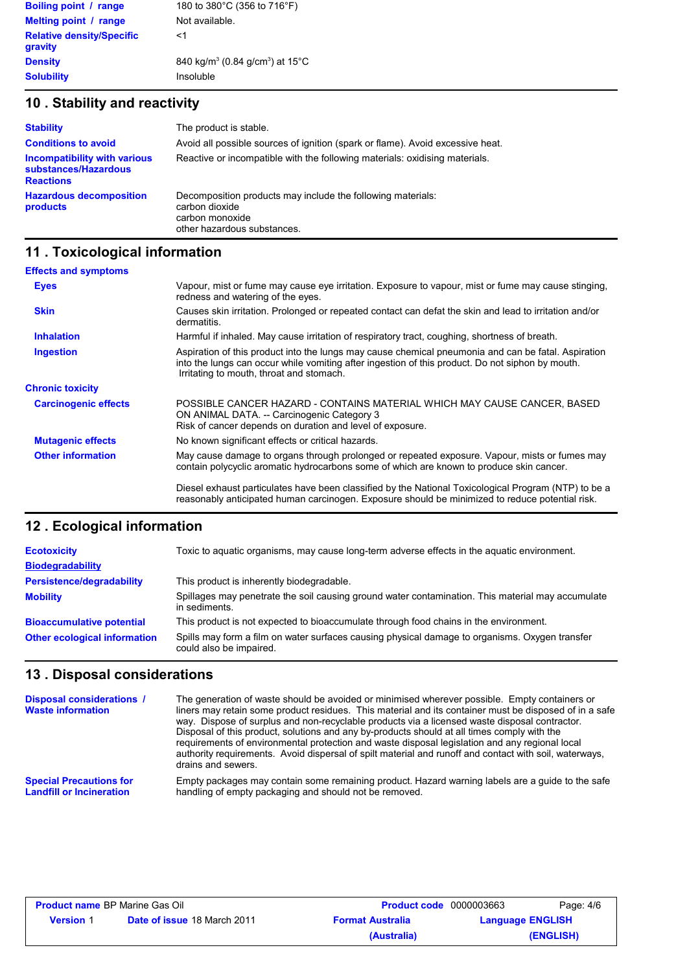| 180 to 380°C (356 to 716°F)                             |
|---------------------------------------------------------|
| Not available.                                          |
| <1                                                      |
| 840 kg/m <sup>3</sup> (0.84 g/cm <sup>3</sup> ) at 15°C |
| Insoluble                                               |
|                                                         |

# **10 . Stability and reactivity**

| <b>Stability</b>                                                                | The product is stable.                                                                                                          |
|---------------------------------------------------------------------------------|---------------------------------------------------------------------------------------------------------------------------------|
| <b>Conditions to avoid</b>                                                      | Avoid all possible sources of ignition (spark or flame). Avoid excessive heat.                                                  |
| <b>Incompatibility with various</b><br>substances/Hazardous<br><b>Reactions</b> | Reactive or incompatible with the following materials: oxidising materials.                                                     |
| <b>Hazardous decomposition</b><br>products                                      | Decomposition products may include the following materials:<br>carbon dioxide<br>carbon monoxide<br>other hazardous substances. |

# **11 . Toxicological information**

| <b>Effects and symptoms</b> |                                                                                                                                                                                                                                                     |
|-----------------------------|-----------------------------------------------------------------------------------------------------------------------------------------------------------------------------------------------------------------------------------------------------|
| <b>Eyes</b>                 | Vapour, mist or fume may cause eye irritation. Exposure to vapour, mist or fume may cause stinging,<br>redness and watering of the eyes.                                                                                                            |
| <b>Skin</b>                 | Causes skin irritation. Prolonged or repeated contact can defat the skin and lead to irritation and/or<br>dermatitis.                                                                                                                               |
| <b>Inhalation</b>           | Harmful if inhaled. May cause irritation of respiratory tract, coughing, shortness of breath.                                                                                                                                                       |
| Ingestion                   | Aspiration of this product into the lungs may cause chemical pneumonia and can be fatal. Aspiration<br>into the lungs can occur while vomiting after ingestion of this product. Do not siphon by mouth.<br>Irritating to mouth, throat and stomach. |
| <b>Chronic toxicity</b>     |                                                                                                                                                                                                                                                     |
| <b>Carcinogenic effects</b> | POSSIBLE CANCER HAZARD - CONTAINS MATERIAL WHICH MAY CAUSE CANCER. BASED<br>ON ANIMAL DATA. -- Carcinogenic Category 3<br>Risk of cancer depends on duration and level of exposure.                                                                 |
| <b>Mutagenic effects</b>    | No known significant effects or critical hazards.                                                                                                                                                                                                   |
| <b>Other information</b>    | May cause damage to organs through prolonged or repeated exposure. Vapour, mists or fumes may<br>contain polycyclic aromatic hydrocarbons some of which are known to produce skin cancer.                                                           |
|                             | Diesel exhaust particulates have been classified by the National Toxicological Program (NTP) to be a<br>reasonably anticipated human carcinogen. Exposure should be minimized to reduce potential risk.                                             |

# **Ecological information 12 .**

| <b>Ecotoxicity</b>                  | Toxic to aquatic organisms, may cause long-term adverse effects in the aquatic environment.                               |
|-------------------------------------|---------------------------------------------------------------------------------------------------------------------------|
| <b>Biodegradability</b>             |                                                                                                                           |
| <b>Persistence/degradability</b>    | This product is inherently biodegradable.                                                                                 |
| <b>Mobility</b>                     | Spillages may penetrate the soil causing ground water contamination. This material may accumulate<br>in sediments.        |
| <b>Bioaccumulative potential</b>    | This product is not expected to bioaccumulate through food chains in the environment.                                     |
| <b>Other ecological information</b> | Spills may form a film on water surfaces causing physical damage to organisms. Oxygen transfer<br>could also be impaired. |

# **13 . Disposal considerations**

| Disposal considerations /<br><b>Waste information</b> | The generation of waste should be avoided or minimised wherever possible. Empty containers or<br>liners may retain some product residues. This material and its container must be disposed of in a safe<br>way. Dispose of surplus and non-recyclable products via a licensed waste disposal contractor.<br>Disposal of this product, solutions and any by-products should at all times comply with the<br>requirements of environmental protection and waste disposal legislation and any regional local<br>authority requirements. Avoid dispersal of spilt material and runoff and contact with soil, waterways,<br>drains and sewers. |
|-------------------------------------------------------|-------------------------------------------------------------------------------------------------------------------------------------------------------------------------------------------------------------------------------------------------------------------------------------------------------------------------------------------------------------------------------------------------------------------------------------------------------------------------------------------------------------------------------------------------------------------------------------------------------------------------------------------|
| <b>Special Precautions for</b>                        | Empty packages may contain some remaining product. Hazard warning labels are a quide to the safe                                                                                                                                                                                                                                                                                                                                                                                                                                                                                                                                          |
| <b>Landfill or Incineration</b>                       | handling of empty packaging and should not be removed.                                                                                                                                                                                                                                                                                                                                                                                                                                                                                                                                                                                    |

| <b>Product name BP Marine Gas Oil</b> |                                    | <b>Product code</b> 0000003663 |                         | Page: 4/6 |
|---------------------------------------|------------------------------------|--------------------------------|-------------------------|-----------|
| <b>Version 1</b>                      | <b>Date of issue 18 March 2011</b> | <b>Format Australia</b>        | <b>Language ENGLISH</b> |           |
|                                       |                                    | (Australia)                    |                         | (ENGLISH) |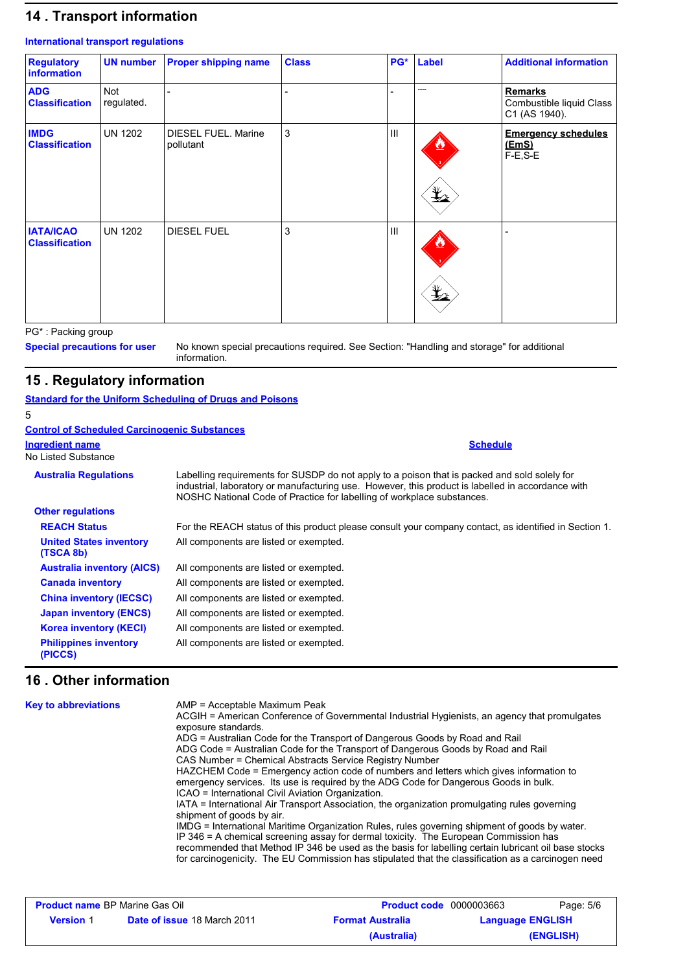# **14 . Transport information**

#### **International transport regulations**

| <b>Regulatory</b><br>information          | <b>UN number</b>  | <b>Proper shipping name</b>             | <b>Class</b> | PG*            | Label                                                                               | <b>Additional information</b>                               |
|-------------------------------------------|-------------------|-----------------------------------------|--------------|----------------|-------------------------------------------------------------------------------------|-------------------------------------------------------------|
| <b>ADG</b><br><b>Classification</b>       | Not<br>regulated. |                                         |              |                | .                                                                                   | <b>Remarks</b><br>Combustible liquid Class<br>C1 (AS 1940). |
| <b>IMDG</b><br><b>Classification</b>      | <b>UN 1202</b>    | <b>DIESEL FUEL. Marine</b><br>pollutant | 3            | $\mathbf{III}$ | $\mathbf{\mathbf{\mathbf{\mathbf{\mathbf{\mathbf{\mathbf{\mathbf{\mathbf{1}}}}}}}}$ | <b>Emergency schedules</b><br>(EmS)<br>F-E,S-E              |
| <b>IATA/ICAO</b><br><b>Classification</b> | <b>UN 1202</b>    | <b>DIESEL FUEL</b>                      | 3            | Ш              | $\frac{1}{2}$                                                                       |                                                             |

PG\* : Packing group

**Special precautions for user**

No known special precautions required. See Section: "Handling and storage" for additional information.

# **15 . Regulatory information**

### **Standard for the Uniform Scheduling of Drugs and Poisons**

| 5                                                   |                                                                                                                                                                                                                                                                             |
|-----------------------------------------------------|-----------------------------------------------------------------------------------------------------------------------------------------------------------------------------------------------------------------------------------------------------------------------------|
| <b>Control of Scheduled Carcinogenic Substances</b> |                                                                                                                                                                                                                                                                             |
| <b>Ingredient name</b><br>No Listed Substance       | <b>Schedule</b>                                                                                                                                                                                                                                                             |
| <b>Australia Regulations</b>                        | Labelling requirements for SUSDP do not apply to a poison that is packed and sold solely for<br>industrial, laboratory or manufacturing use. However, this product is labelled in accordance with<br>NOSHC National Code of Practice for labelling of workplace substances. |
| <b>Other regulations</b>                            |                                                                                                                                                                                                                                                                             |
| <b>REACH Status</b>                                 | For the REACH status of this product please consult your company contact, as identified in Section 1.                                                                                                                                                                       |
| <b>United States inventory</b><br>(TSCA 8b)         | All components are listed or exempted.                                                                                                                                                                                                                                      |
| <b>Australia inventory (AICS)</b>                   | All components are listed or exempted.                                                                                                                                                                                                                                      |
| <b>Canada inventory</b>                             | All components are listed or exempted.                                                                                                                                                                                                                                      |
| <b>China inventory (IECSC)</b>                      | All components are listed or exempted.                                                                                                                                                                                                                                      |
| <b>Japan inventory (ENCS)</b>                       | All components are listed or exempted.                                                                                                                                                                                                                                      |
| <b>Korea inventory (KECI)</b>                       | All components are listed or exempted.                                                                                                                                                                                                                                      |
| <b>Philippines inventory</b><br>(PICCS)             | All components are listed or exempted.                                                                                                                                                                                                                                      |

# **16 . Other information**

| <b>Key to abbreviations</b> | AMP = Acceptable Maximum Peak<br>ACGIH = American Conference of Governmental Industrial Hygienists, an agency that promulgates<br>exposure standards.<br>ADG = Australian Code for the Transport of Dangerous Goods by Road and Rail<br>ADG Code = Australian Code for the Transport of Dangerous Goods by Road and Rail<br>CAS Number = Chemical Abstracts Service Registry Number<br>HAZCHEM Code = Emergency action code of numbers and letters which gives information to<br>emergency services. Its use is required by the ADG Code for Dangerous Goods in bulk.<br>ICAO = International Civil Aviation Organization.<br>IATA = International Air Transport Association, the organization promulgating rules governing<br>shipment of goods by air.<br>IMDG = International Maritime Organization Rules, rules governing shipment of goods by water.<br>IP 346 = A chemical screening assay for dermal toxicity. The European Commission has<br>recommended that Method IP 346 be used as the basis for labelling certain lubricant oil base stocks<br>for carcinogenicity. The EU Commission has stipulated that the classification as a carcinogen need |
|-----------------------------|----------------------------------------------------------------------------------------------------------------------------------------------------------------------------------------------------------------------------------------------------------------------------------------------------------------------------------------------------------------------------------------------------------------------------------------------------------------------------------------------------------------------------------------------------------------------------------------------------------------------------------------------------------------------------------------------------------------------------------------------------------------------------------------------------------------------------------------------------------------------------------------------------------------------------------------------------------------------------------------------------------------------------------------------------------------------------------------------------------------------------------------------------------------|
|                             |                                                                                                                                                                                                                                                                                                                                                                                                                                                                                                                                                                                                                                                                                                                                                                                                                                                                                                                                                                                                                                                                                                                                                                |

| <b>Product name BP Marine Gas Oil</b> |                                    | <b>Product code</b> 0000003663 |                         | Page: 5/6 |
|---------------------------------------|------------------------------------|--------------------------------|-------------------------|-----------|
| <b>Version 1</b>                      | <b>Date of issue 18 March 2011</b> | <b>Format Australia</b>        | <b>Language ENGLISH</b> |           |
|                                       |                                    | (Australia)                    |                         | (ENGLISH) |